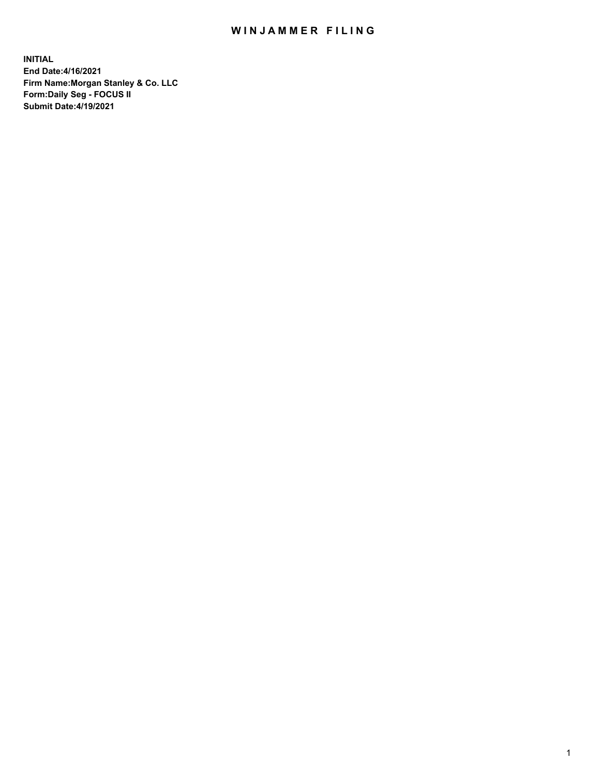## WIN JAMMER FILING

**INITIAL End Date:4/16/2021 Firm Name:Morgan Stanley & Co. LLC Form:Daily Seg - FOCUS II Submit Date:4/19/2021**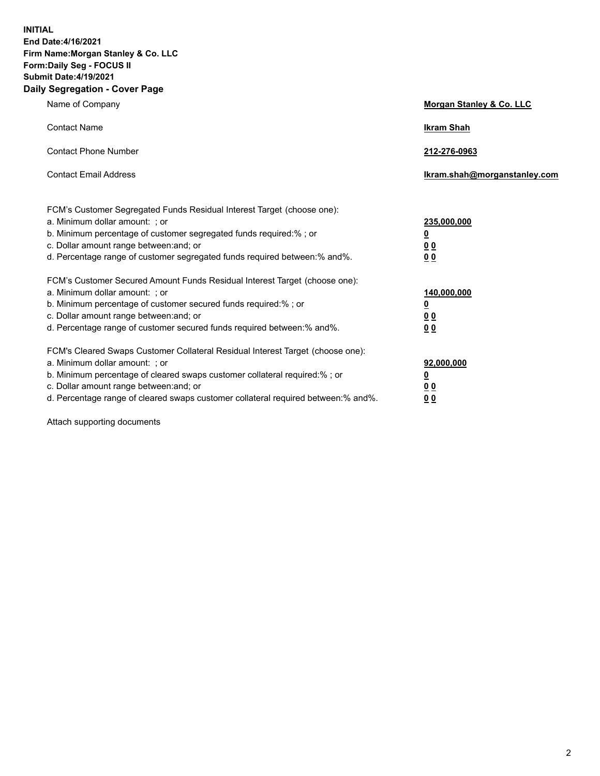**INITIAL End Date:4/16/2021 Firm Name:Morgan Stanley & Co. LLC Form:Daily Seg - FOCUS II Submit Date:4/19/2021 Daily Segregation - Cover Page**

| Name of Company                                                                                                                                                                                                                                                                                                                | Morgan Stanley & Co. LLC                                    |
|--------------------------------------------------------------------------------------------------------------------------------------------------------------------------------------------------------------------------------------------------------------------------------------------------------------------------------|-------------------------------------------------------------|
| <b>Contact Name</b>                                                                                                                                                                                                                                                                                                            | <b>Ikram Shah</b>                                           |
| <b>Contact Phone Number</b>                                                                                                                                                                                                                                                                                                    | 212-276-0963                                                |
| <b>Contact Email Address</b>                                                                                                                                                                                                                                                                                                   | Ikram.shah@morganstanley.com                                |
| FCM's Customer Segregated Funds Residual Interest Target (choose one):<br>a. Minimum dollar amount: ; or<br>b. Minimum percentage of customer segregated funds required:% ; or<br>c. Dollar amount range between: and; or<br>d. Percentage range of customer segregated funds required between: % and %.                       | 235,000,000<br><u>0</u><br>00<br>0 <sub>0</sub>             |
| FCM's Customer Secured Amount Funds Residual Interest Target (choose one):<br>a. Minimum dollar amount: ; or<br>b. Minimum percentage of customer secured funds required:%; or<br>c. Dollar amount range between: and; or<br>d. Percentage range of customer secured funds required between:% and%.                            | 140,000,000<br><u>0</u><br>0 <sub>0</sub><br>0 <sub>0</sub> |
| FCM's Cleared Swaps Customer Collateral Residual Interest Target (choose one):<br>a. Minimum dollar amount: ; or<br>b. Minimum percentage of cleared swaps customer collateral required:% ; or<br>c. Dollar amount range between: and; or<br>d. Percentage range of cleared swaps customer collateral required between:% and%. | 92,000,000<br><u>0</u><br>0 Q<br>0 <sub>0</sub>             |

Attach supporting documents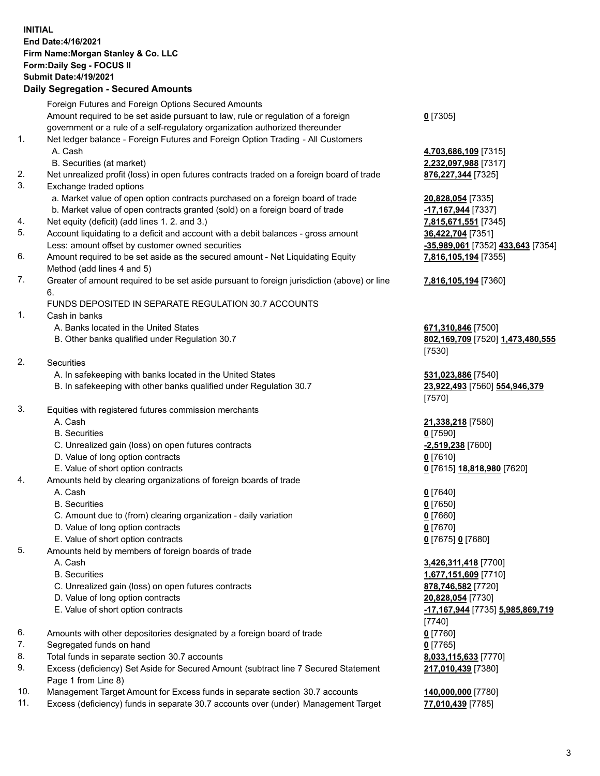## **INITIAL End Date:4/16/2021 Firm Name:Morgan Stanley & Co. LLC Form:Daily Seg - FOCUS II Submit Date:4/19/2021**

## **Daily Segregation - Secured Amounts**

Foreign Futures and Foreign Options Secured Amounts Amount required to be set aside pursuant to law, rule or regulation of a foreign government or a rule of a self-regulatory organization authorized thereunder 1. Net ledger balance - Foreign Futures and Foreign Option Trading - All Customers A. Cash **4,703,686,109** [7315] B. Securities (at market) **2,232,097,988** [7317] 2. Net unrealized profit (loss) in open futures contracts traded on a foreign board of trade **876,227,344** [7325] 3. Exchange traded options a. Market value of open option contracts purchased on a foreign board of trade **20,828,054** [7335] b. Market value of open contracts granted (sold) on a foreign board of trade **-17,167,944** [7337] 4. Net equity (deficit) (add lines 1. 2. and 3.) **7,815,671,551** [7345] 5. Account liquidating to a deficit and account with a debit balances - gross amount **36,422,704** [7351] Less: amount offset by customer owned securities **-35,989,061** [7352] **433,643** [7354] 6. Amount required to be set aside as the secured amount - Net Liquidating Equity Method (add lines 4 and 5) 7. Greater of amount required to be set aside pursuant to foreign jurisdiction (above) or line 6. FUNDS DEPOSITED IN SEPARATE REGULATION 30.7 ACCOUNTS 1. Cash in banks A. Banks located in the United States **671,310,846** [7500] B. Other banks qualified under Regulation 30.7 **802,169,709** [7520] **1,473,480,555** 2. Securities A. In safekeeping with banks located in the United States **531,023,886** [7540] B. In safekeeping with other banks qualified under Regulation 30.7 **23,922,493** [7560] **554,946,379** 3. Equities with registered futures commission merchants A. Cash **21,338,218** [7580] B. Securities **0** [7590] C. Unrealized gain (loss) on open futures contracts **-2,519,238** [7600] D. Value of long option contracts **0** [7610] E. Value of short option contracts **0** [7615] **18,818,980** [7620] 4. Amounts held by clearing organizations of foreign boards of trade A. Cash **0** [7640] B. Securities **0** [7650] C. Amount due to (from) clearing organization - daily variation **0** [7660] D. Value of long option contracts **0** [7670] E. Value of short option contracts **0** [7675] **0** [7680] 5. Amounts held by members of foreign boards of trade A. Cash **3,426,311,418** [7700] B. Securities **1,677,151,609** [7710] C. Unrealized gain (loss) on open futures contracts **878,746,582** [7720] D. Value of long option contracts **20,828,054** [7730] E. Value of short option contracts **-17,167,944** [7735] **5,985,869,719** 6. Amounts with other depositories designated by a foreign board of trade **0** [7760] 7. Segregated funds on hand **0** [7765] 8. Total funds in separate section 30.7 accounts **8,033,115,633** [7770] 9. Excess (deficiency) Set Aside for Secured Amount (subtract line 7 Secured Statement Page 1 from Line 8)

- 10. Management Target Amount for Excess funds in separate section 30.7 accounts **140,000,000** [7780]
- 11. Excess (deficiency) funds in separate 30.7 accounts over (under) Management Target **77,010,439** [7785]

**0** [7305]

**7,816,105,194** [7355]

## **7,816,105,194** [7360]

[7530]

[7570]

[7740] **217,010,439** [7380]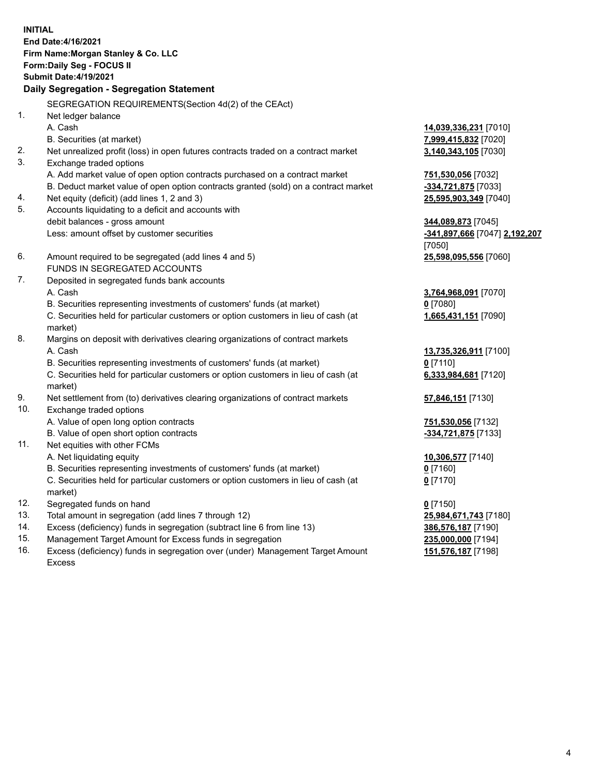**INITIAL End Date:4/16/2021 Firm Name:Morgan Stanley & Co. LLC Form:Daily Seg - FOCUS II Submit Date:4/19/2021 Daily Segregation - Segregation Statement** SEGREGATION REQUIREMENTS(Section 4d(2) of the CEAct) 1. Net ledger balance A. Cash **14,039,336,231** [7010] B. Securities (at market) **7,999,415,832** [7020] 2. Net unrealized profit (loss) in open futures contracts traded on a contract market **3,140,343,105** [7030] 3. Exchange traded options A. Add market value of open option contracts purchased on a contract market **751,530,056** [7032] B. Deduct market value of open option contracts granted (sold) on a contract market **-334,721,875** [7033] 4. Net equity (deficit) (add lines 1, 2 and 3) **25,595,903,349** [7040] 5. Accounts liquidating to a deficit and accounts with debit balances - gross amount **344,089,873** [7045] Less: amount offset by customer securities **-341,897,666** [7047] **2,192,207** [7050] 6. Amount required to be segregated (add lines 4 and 5) **25,598,095,556** [7060] FUNDS IN SEGREGATED ACCOUNTS 7. Deposited in segregated funds bank accounts A. Cash **3,764,968,091** [7070] B. Securities representing investments of customers' funds (at market) **0** [7080] C. Securities held for particular customers or option customers in lieu of cash (at market) **1,665,431,151** [7090] 8. Margins on deposit with derivatives clearing organizations of contract markets A. Cash **13,735,326,911** [7100] B. Securities representing investments of customers' funds (at market) **0** [7110] C. Securities held for particular customers or option customers in lieu of cash (at market) **6,333,984,681** [7120] 9. Net settlement from (to) derivatives clearing organizations of contract markets **57,846,151** [7130] 10. Exchange traded options A. Value of open long option contracts **751,530,056** [7132] B. Value of open short option contracts **-334,721,875** [7133] 11. Net equities with other FCMs A. Net liquidating equity **10,306,577** [7140] B. Securities representing investments of customers' funds (at market) **0** [7160] C. Securities held for particular customers or option customers in lieu of cash (at market) **0** [7170] 12. Segregated funds on hand **0** [7150] 13. Total amount in segregation (add lines 7 through 12) **25,984,671,743** [7180] 14. Excess (deficiency) funds in segregation (subtract line 6 from line 13) **386,576,187** [7190] 15. Management Target Amount for Excess funds in segregation **235,000,000** [7194]

16. Excess (deficiency) funds in segregation over (under) Management Target Amount Excess

**151,576,187** [7198]